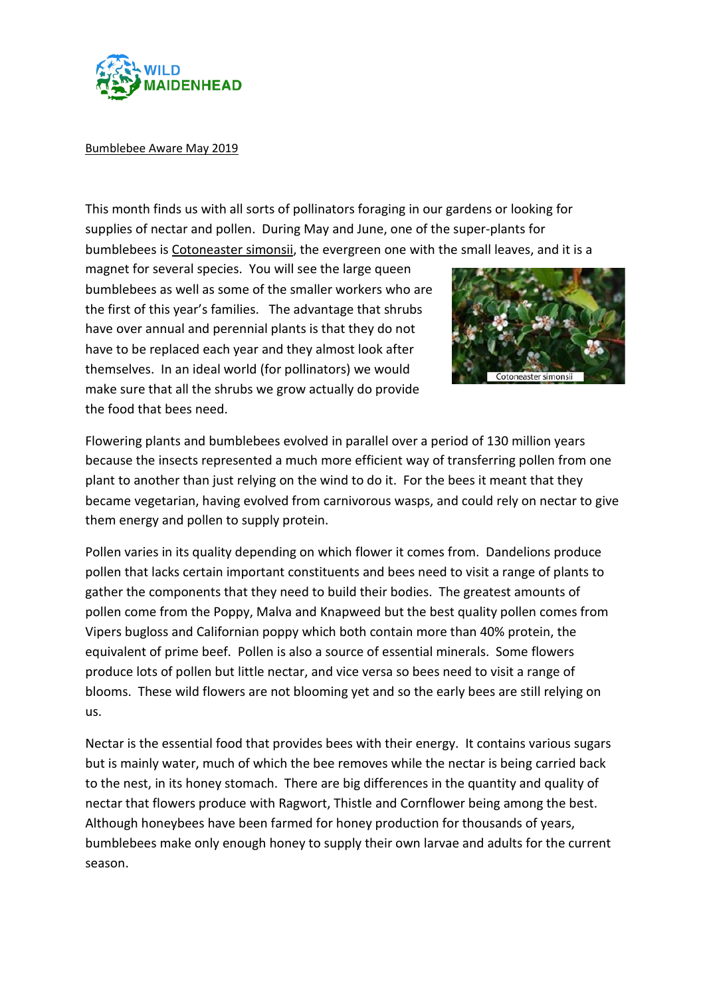

## Bumblebee Aware May 2019

This month finds us with all sorts of pollinators foraging in our gardens or looking for supplies of nectar and pollen. During May and June, one of the super-plants for bumblebees is Cotoneaster simonsii, the evergreen one with the small leaves, and it is a

magnet for several species. You will see the large queen bumblebees as well as some of the smaller workers who are the first of this year's families. The advantage that shrubs have over annual and perennial plants is that they do not have to be replaced each year and they almost look after themselves. In an ideal world (for pollinators) we would make sure that all the shrubs we grow actually do provide the food that bees need.



Flowering plants and bumblebees evolved in parallel over a period of 130 million years because the insects represented a much more efficient way of transferring pollen from one plant to another than just relying on the wind to do it. For the bees it meant that they became vegetarian, having evolved from carnivorous wasps, and could rely on nectar to give them energy and pollen to supply protein.

Pollen varies in its quality depending on which flower it comes from. Dandelions produce pollen that lacks certain important constituents and bees need to visit a range of plants to gather the components that they need to build their bodies. The greatest amounts of pollen come from the Poppy, Malva and Knapweed but the best quality pollen comes from Vipers bugloss and Californian poppy which both contain more than 40% protein, the equivalent of prime beef. Pollen is also a source of essential minerals. Some flowers produce lots of pollen but little nectar, and vice versa so bees need to visit a range of blooms. These wild flowers are not blooming yet and so the early bees are still relying on us.

Nectar is the essential food that provides bees with their energy. It contains various sugars but is mainly water, much of which the bee removes while the nectar is being carried back to the nest, in its honey stomach. There are big differences in the quantity and quality of nectar that flowers produce with Ragwort, Thistle and Cornflower being among the best. Although honeybees have been farmed for honey production for thousands of years, bumblebees make only enough honey to supply their own larvae and adults for the current season.